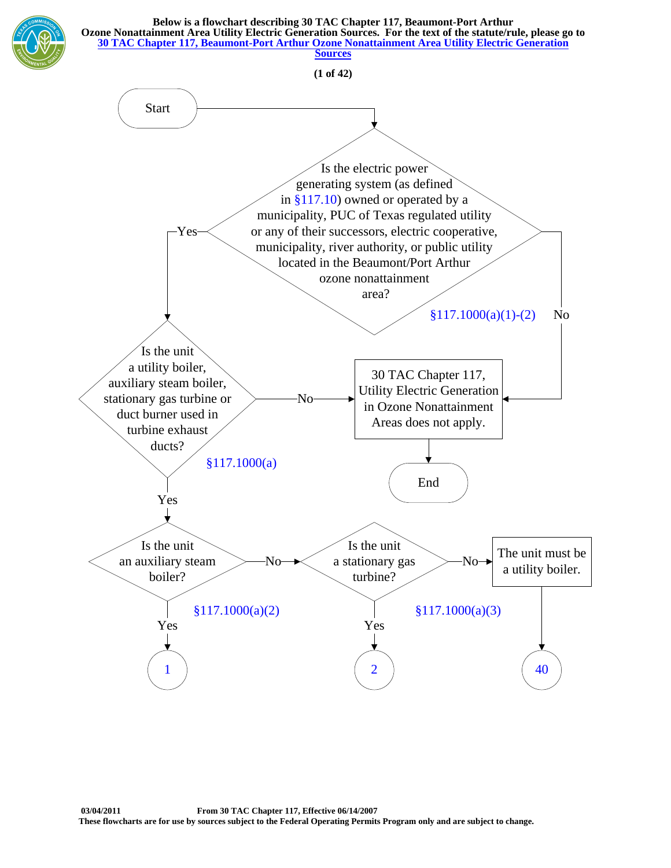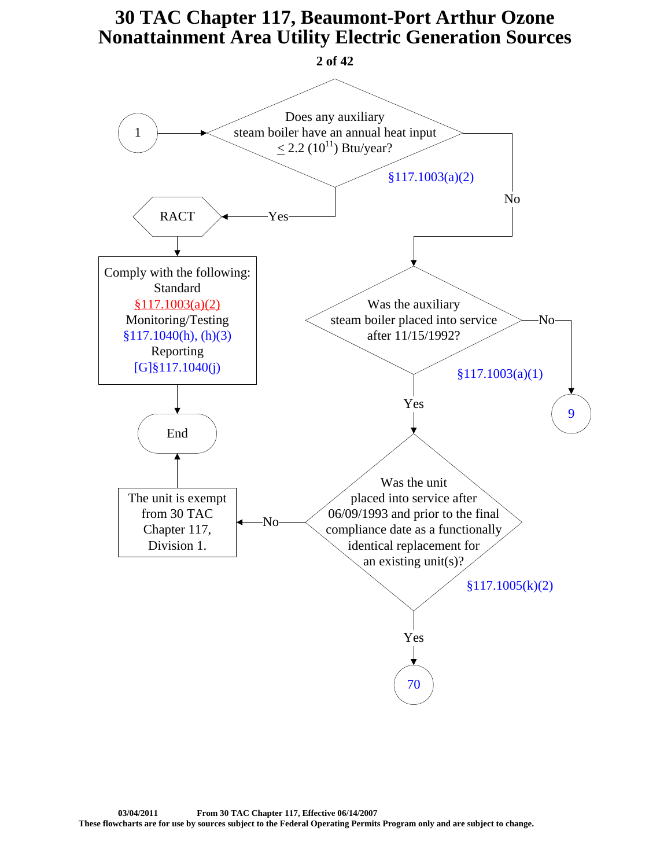<span id="page-1-0"></span>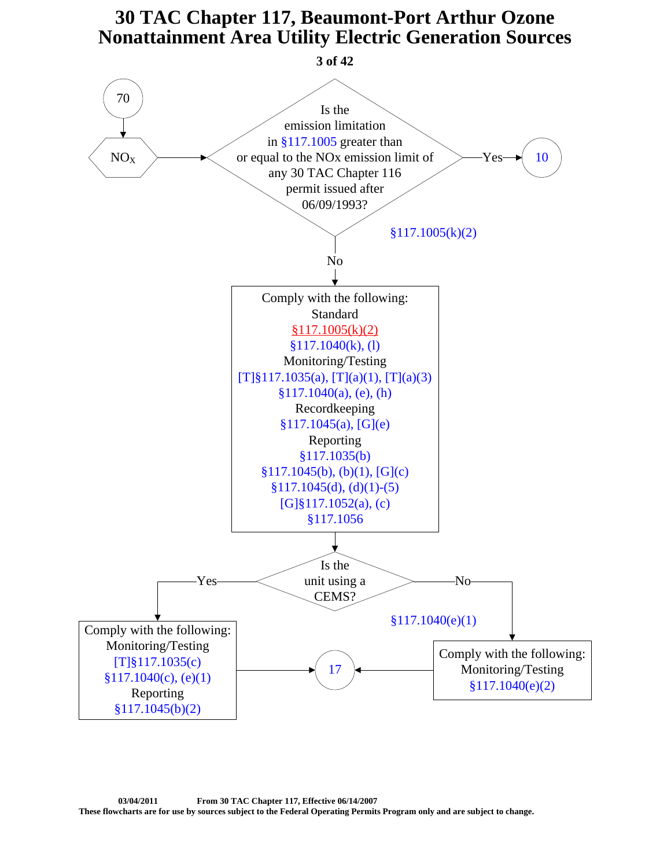<span id="page-2-0"></span>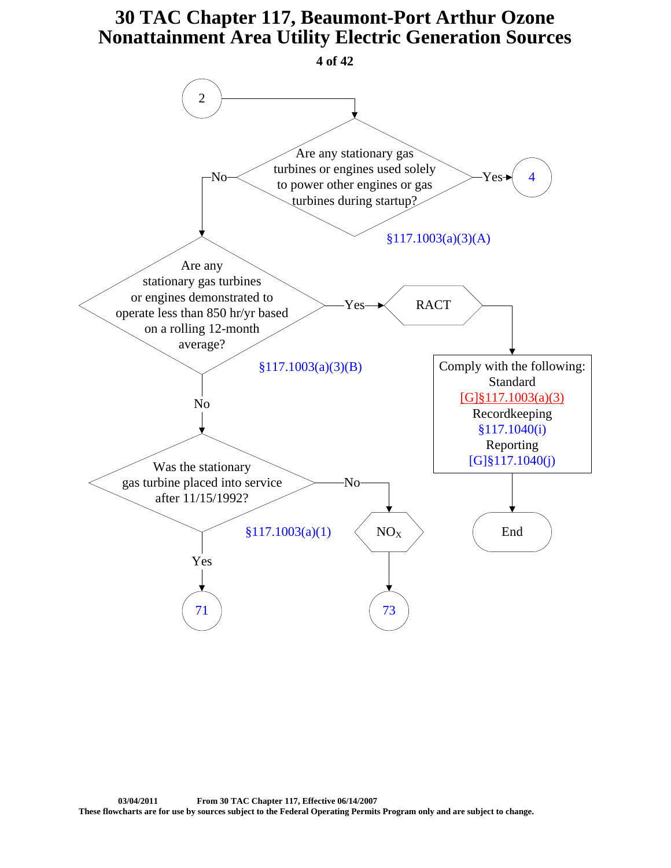<span id="page-3-0"></span>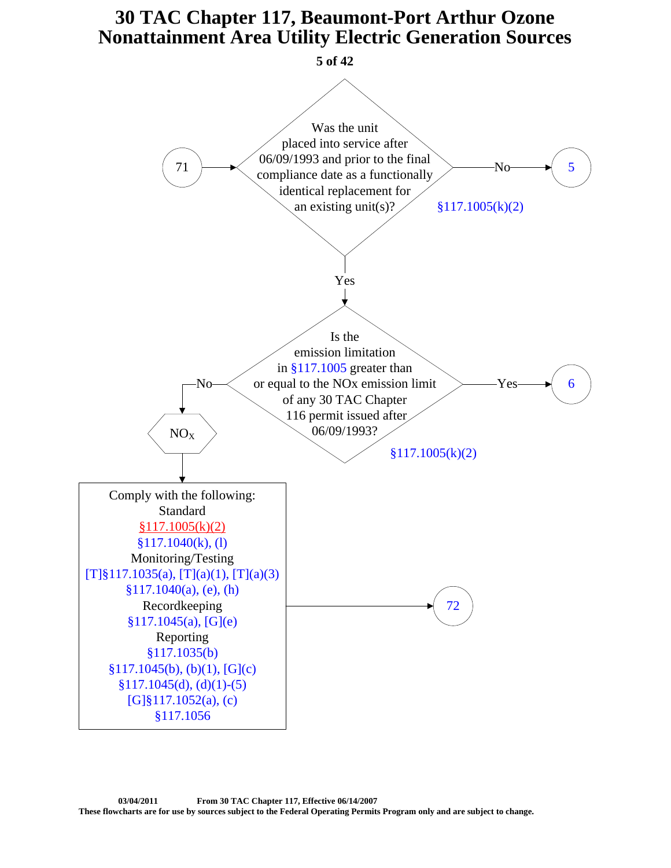<span id="page-4-0"></span>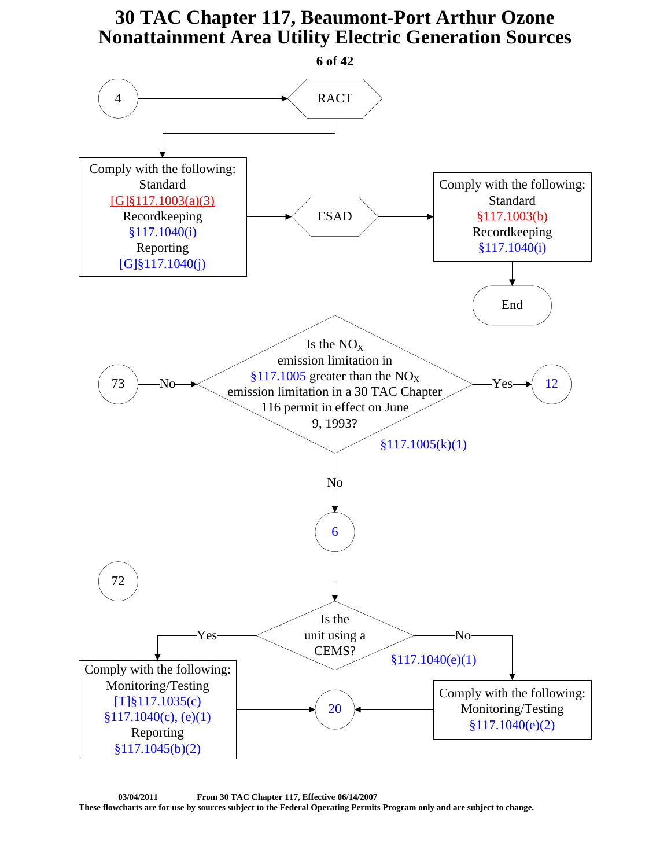<span id="page-5-0"></span>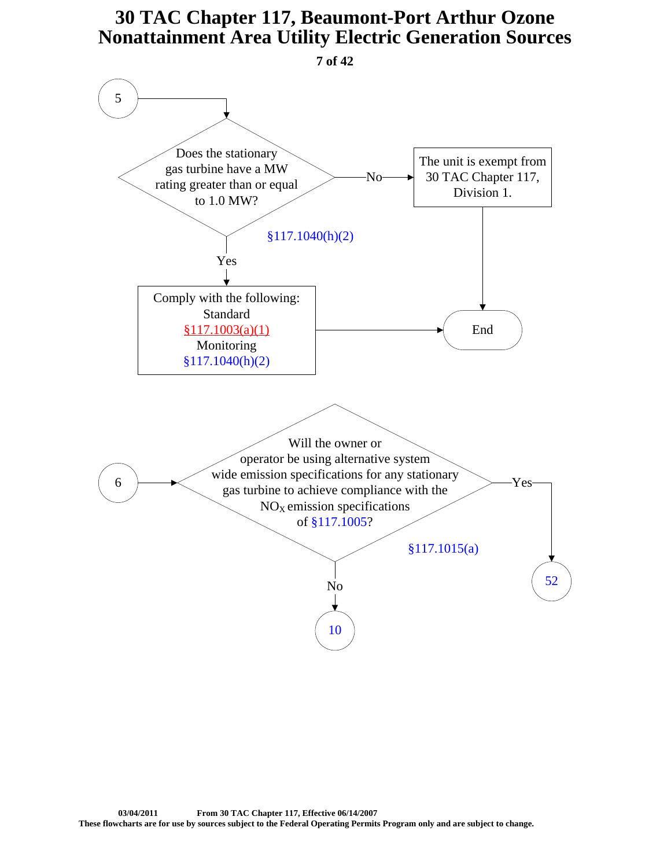<span id="page-6-0"></span>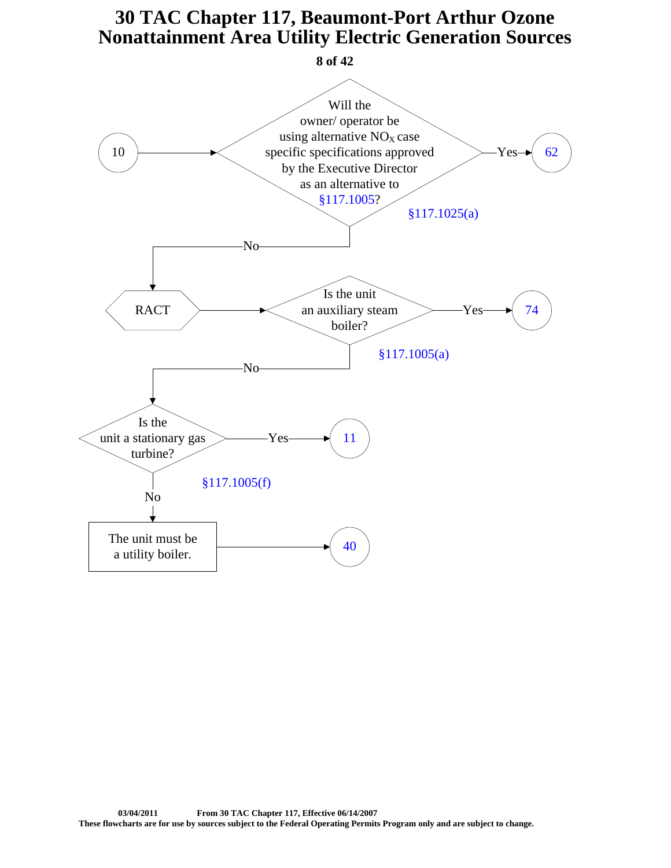<span id="page-7-0"></span>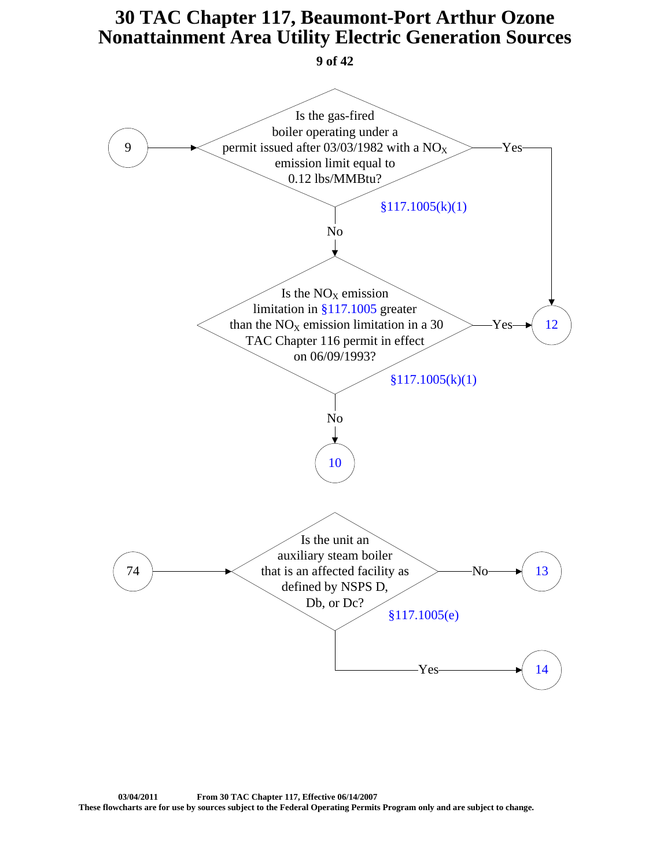

<span id="page-8-0"></span>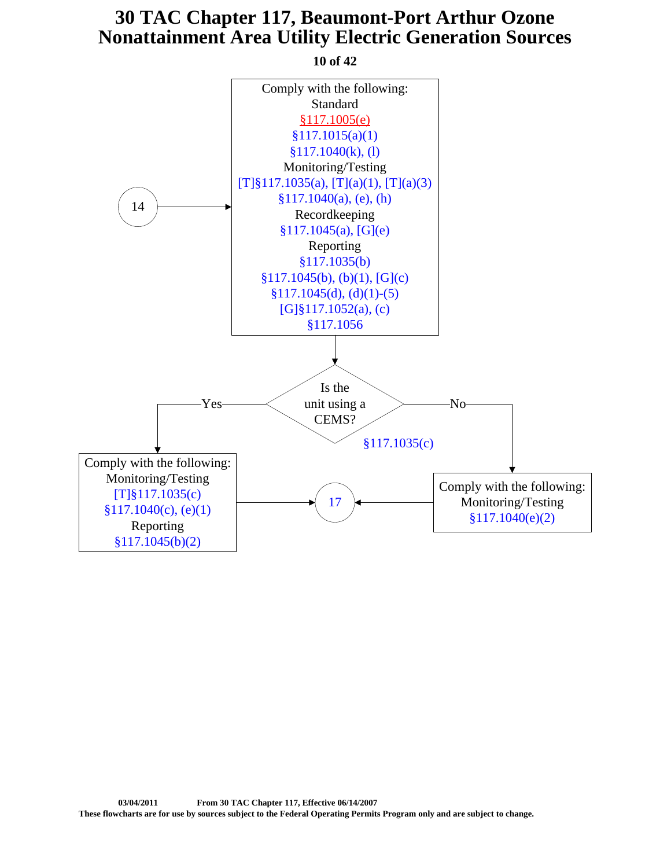<span id="page-9-0"></span>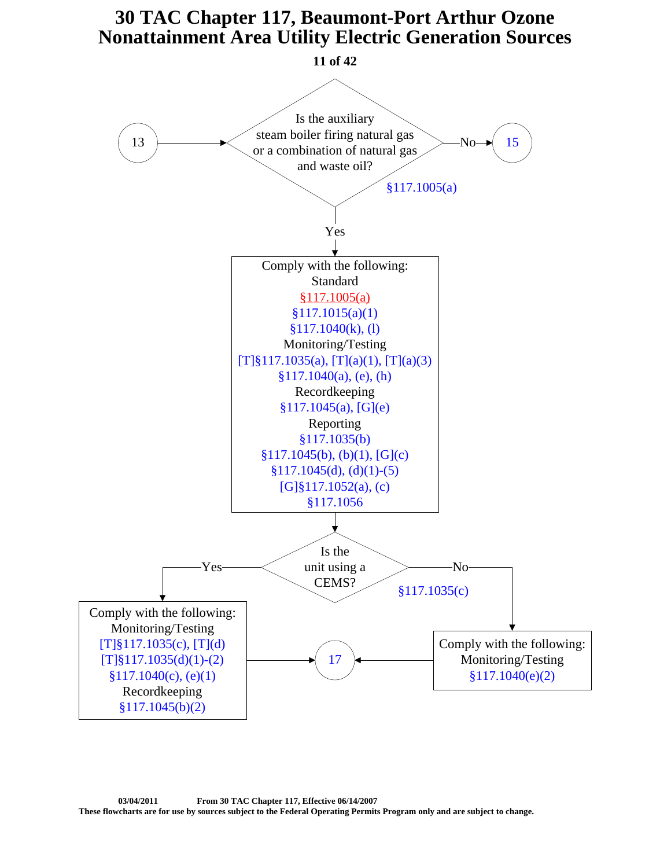<span id="page-10-0"></span>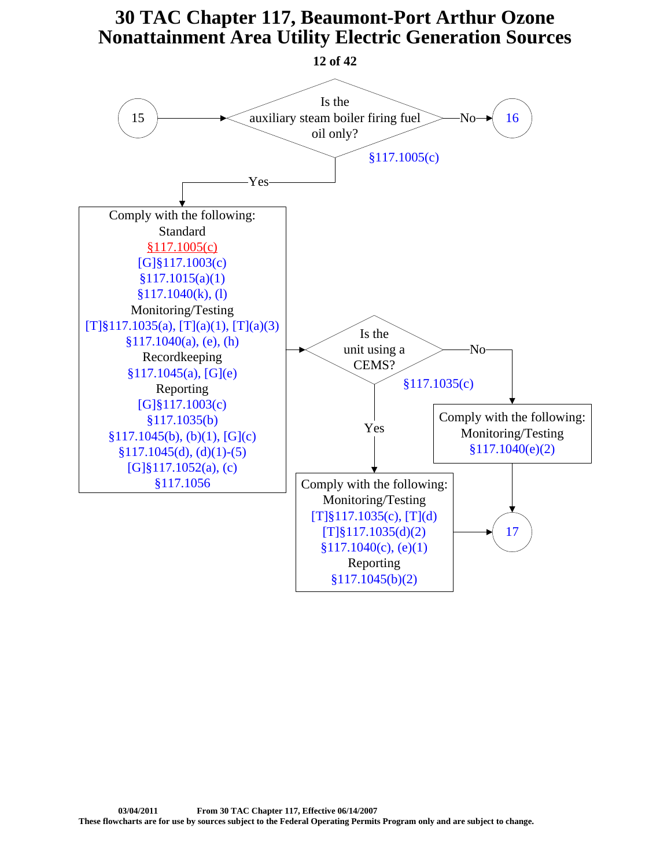<span id="page-11-0"></span>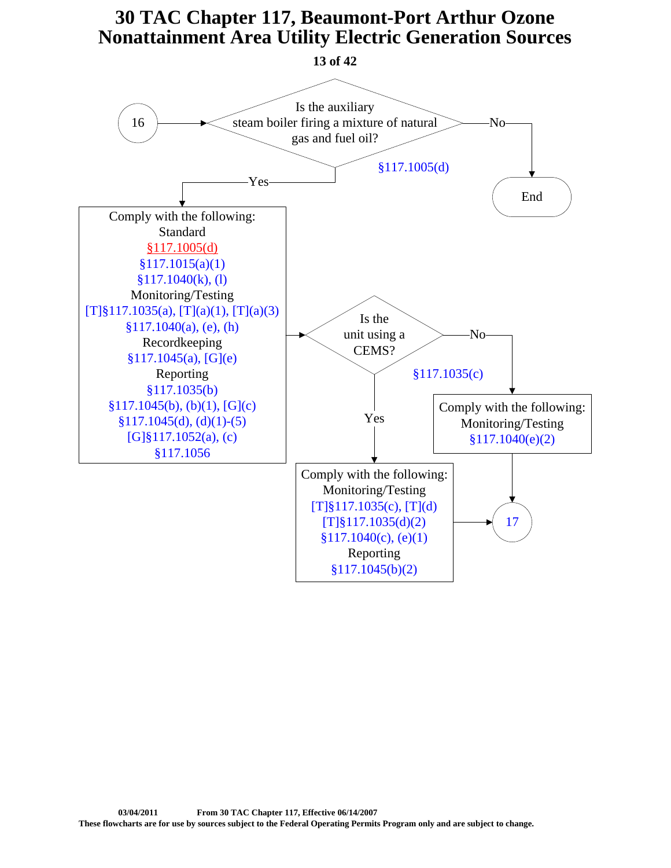<span id="page-12-0"></span>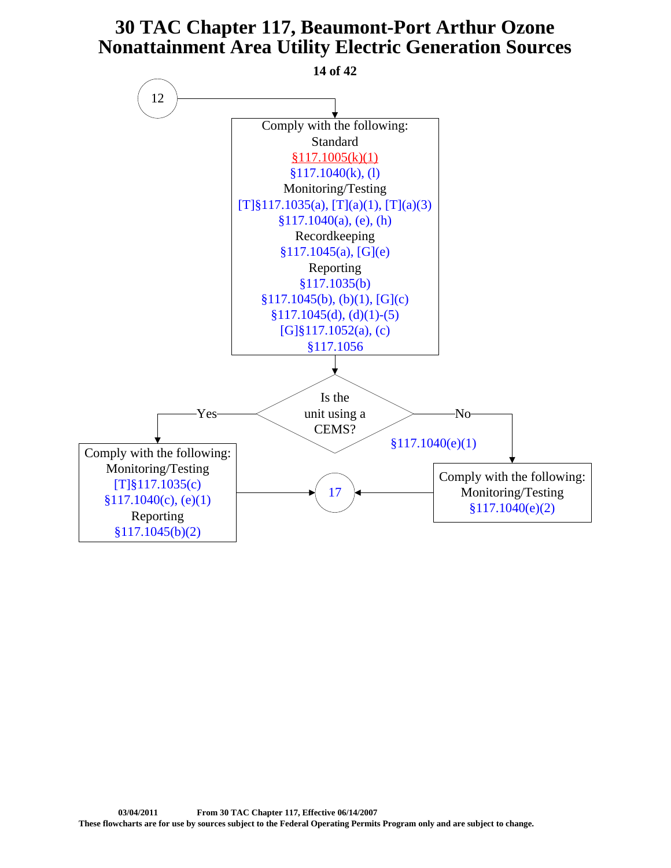<span id="page-13-0"></span>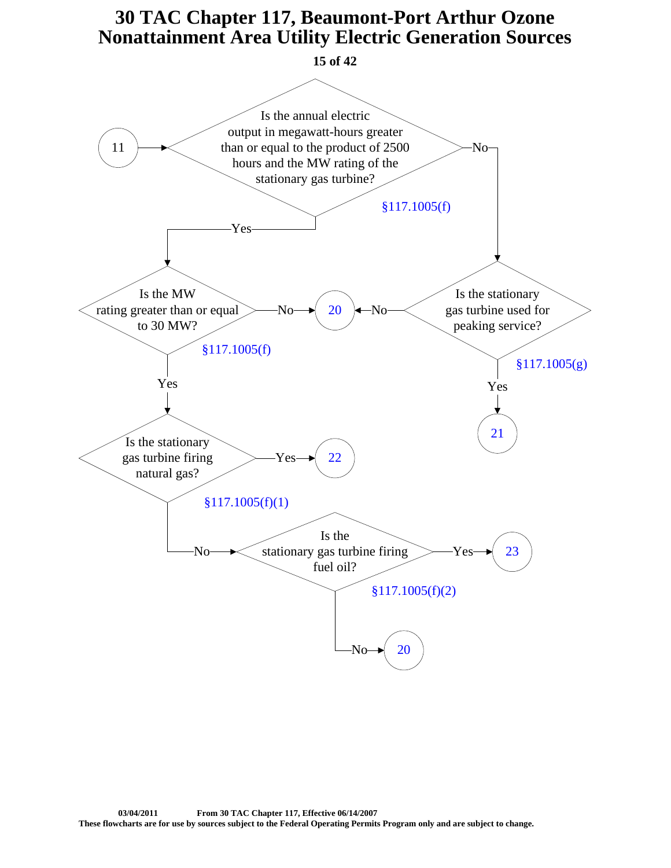

<span id="page-14-0"></span>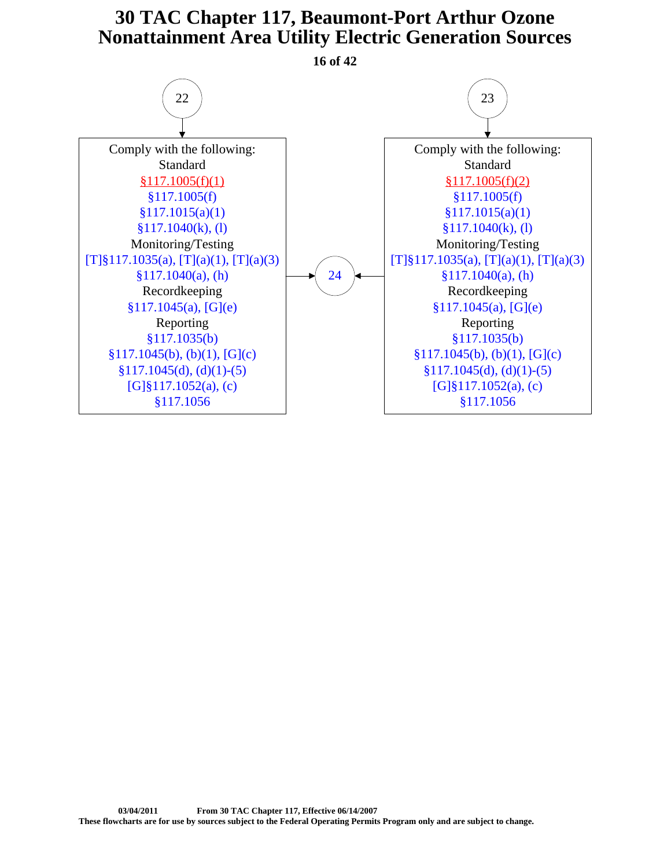<span id="page-15-0"></span>Comply with the following: Standard [§117.1005\(f\)\(1\)](https://www.tceq.texas.gov/downloads/permitting/air-rules/state/30-tac-117/re7c1-util.pdf#page=2) [§117.1005\(f\)](http://texreg.sos.state.tx.us/public/readtac$ext.TacPage?sl=R&app=9&p_dir=&p_rloc=&p_tloc=&p_ploc=&pg=1&p_tac=&ti=30&pt=1&ch=117&rl=1005) [§117.1015\(a\)\(1\)](http://texreg.sos.state.tx.us/public/readtac$ext.TacPage?sl=R&app=9&p_dir=&p_rloc=&p_tloc=&p_ploc=&pg=1&p_tac=&ti=30&pt=1&ch=117&rl=1015) [§117.1040\(k\), \(l\)](http://texreg.sos.state.tx.us/public/readtac$ext.TacPage?sl=R&app=9&p_dir=&p_rloc=&p_tloc=&p_ploc=&pg=1&p_tac=&ti=30&pt=1&ch=117&rl=1040) Monitoring/Testing [\[T\]§117.1035\(a\), \[T\]\(a\)\(1\), \[T\]\(a\)\(3\)](http://texreg.sos.state.tx.us/public/readtac$ext.TacPage?sl=R&app=9&p_dir=&p_rloc=&p_tloc=&p_ploc=&pg=1&p_tac=&ti=30&pt=1&ch=117&rl=1035) [§117.1040\(a\), \(h\)](http://texreg.sos.state.tx.us/public/readtac$ext.TacPage?sl=R&app=9&p_dir=&p_rloc=&p_tloc=&p_ploc=&pg=1&p_tac=&ti=30&pt=1&ch=117&rl=1040) Recordkeeping  $§117.1045(a), [G](e)$ Reporting [§117.1035\(b\)](http://texreg.sos.state.tx.us/public/readtac$ext.TacPage?sl=R&app=9&p_dir=&p_rloc=&p_tloc=&p_ploc=&pg=1&p_tac=&ti=30&pt=1&ch=117&rl=1035)  $§117.1045(b), (b)(1), [G](c)$  $§117.1045(d), (d)(1)-(5)$  $[G]$ §117.1052(a), (c) [§117.1056](http://texreg.sos.state.tx.us/public/readtac$ext.TacPage?sl=R&app=9&p_dir=&p_rloc=&p_tloc=&p_ploc=&pg=1&p_tac=&ti=30&pt=1&ch=117&rl=1056) Comply with the following: Standard [§117.1005\(f\)\(2\)](https://www.tceq.texas.gov/downloads/permitting/air-rules/state/30-tac-117/re7c1-util.pdf#page=3) [§117.1005\(f\)](http://texreg.sos.state.tx.us/public/readtac$ext.TacPage?sl=R&app=9&p_dir=&p_rloc=&p_tloc=&p_ploc=&pg=1&p_tac=&ti=30&pt=1&ch=117&rl=1005) [§117.1015\(a\)\(1\)](http://texreg.sos.state.tx.us/public/readtac$ext.TacPage?sl=R&app=9&p_dir=&p_rloc=&p_tloc=&p_ploc=&pg=1&p_tac=&ti=30&pt=1&ch=117&rl=1015) [§117.1040\(k\), \(l\)](http://texreg.sos.state.tx.us/public/readtac$ext.TacPage?sl=R&app=9&p_dir=&p_rloc=&p_tloc=&p_ploc=&pg=1&p_tac=&ti=30&pt=1&ch=117&rl=1040) Monitoring/Testing [\[T\]§117.1035\(a\), \[T\]\(a\)\(1\), \[T\]\(a\)\(3\)](http://texreg.sos.state.tx.us/public/readtac$ext.TacPage?sl=R&app=9&p_dir=&p_rloc=&p_tloc=&p_ploc=&pg=1&p_tac=&ti=30&pt=1&ch=117&rl=1035) [§117.1040\(a\), \(h\)](http://texreg.sos.state.tx.us/public/readtac$ext.TacPage?sl=R&app=9&p_dir=&p_rloc=&p_tloc=&p_ploc=&pg=1&p_tac=&ti=30&pt=1&ch=117&rl=1040) Recordkeeping [§117.1045\(a\), \[G\]\(e\)](http://texreg.sos.state.tx.us/public/readtac$ext.TacPage?sl=R&app=9&p_dir=&p_rloc=&p_tloc=&p_ploc=&pg=1&p_tac=&ti=30&pt=1&ch=117&rl=1045) Reporting [§117.1035\(b\)](http://texreg.sos.state.tx.us/public/readtac$ext.TacPage?sl=R&app=9&p_dir=&p_rloc=&p_tloc=&p_ploc=&pg=1&p_tac=&ti=30&pt=1&ch=117&rl=1035)  $§117.1045(b), (b)(1), [G](c)$  $§117.1045(d), (d)(1)-(5)$  $[G]\S 117.1052(a), (c)$ [§117.1056](http://texreg.sos.state.tx.us/public/readtac$ext.TacPage?sl=R&app=9&p_dir=&p_rloc=&p_tloc=&p_ploc=&pg=1&p_tac=&ti=30&pt=1&ch=117&rl=1056)  $22$ ) (23 [24](#page-16-0) **16 of 42**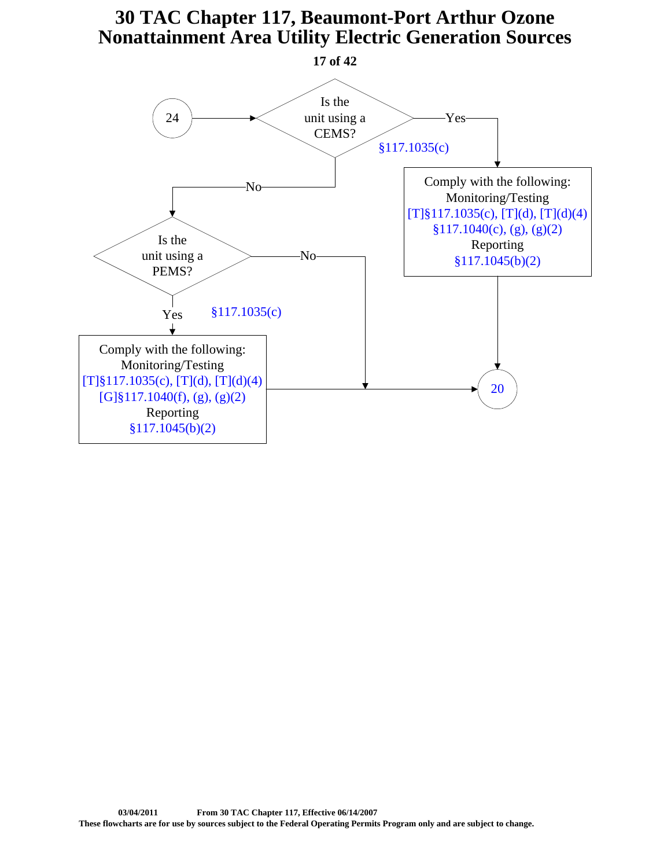<span id="page-16-0"></span>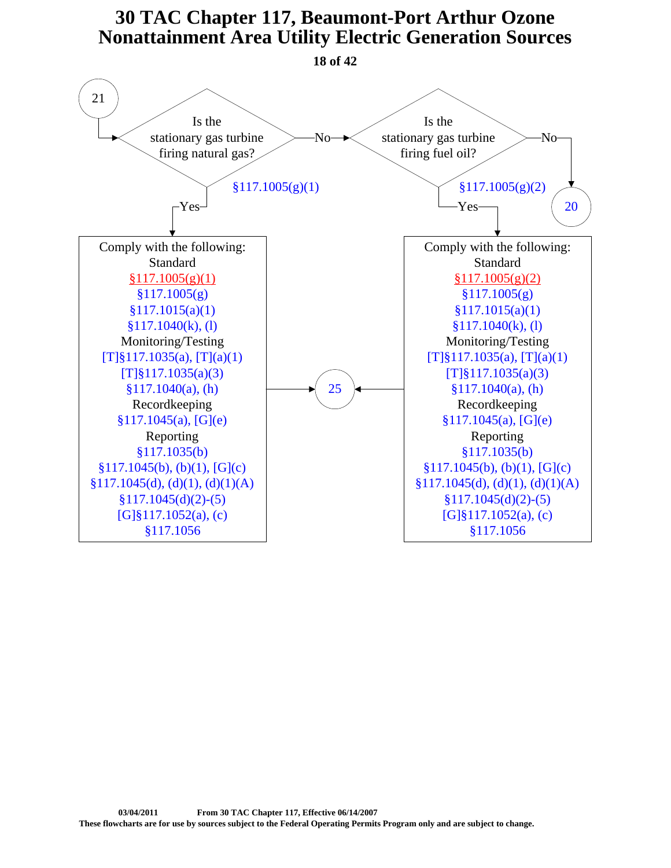<span id="page-17-0"></span>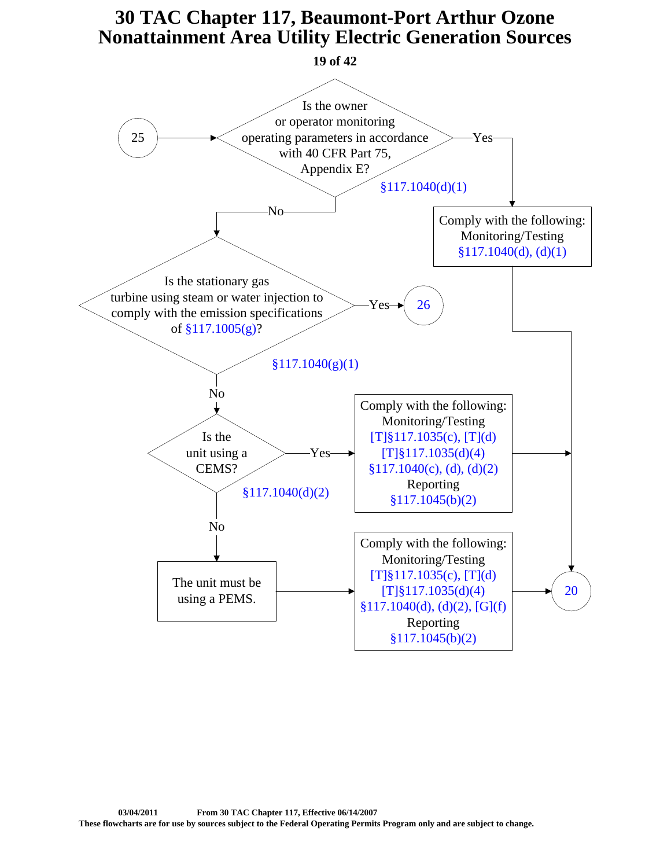<span id="page-18-0"></span>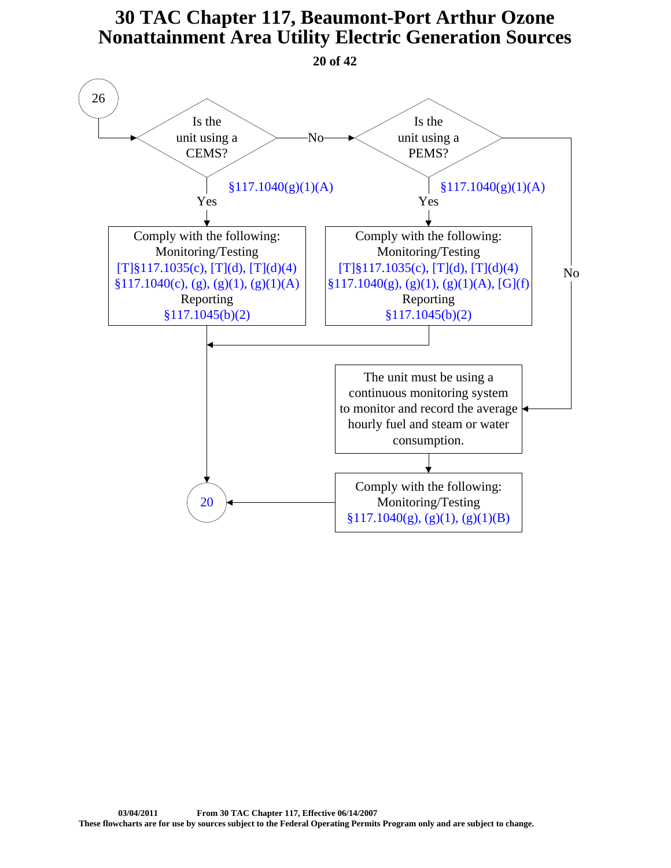**20 of 42**

<span id="page-19-0"></span>Is the unit using a CEMS? Is the unit using a PEMS? Yes Yes Comply with the following: Monitoring/Testing  $[T]\$ {117.1035(c),  $[T](d)$ ,  $[T](d)(4)$  $§117.1040(c), (g), (g)(1), (g)(1)(A)$ Reporting [§117.1045\(b\)\(2\)](http://texreg.sos.state.tx.us/public/readtac$ext.TacPage?sl=R&app=9&p_dir=&p_rloc=&p_tloc=&p_ploc=&pg=1&p_tac=&ti=30&pt=1&ch=117&rl=1045) Comply with the following: Monitoring/Testing  $[T]\$ {117.1035(c),  $[T](d)$ ,  $[T](d)(4)$  $§117.1040(g), (g)(1), (g)(1)(A), [G](f)$ Reporting [§117.1045\(b\)\(2\)](http://texreg.sos.state.tx.us/public/readtac$ext.TacPage?sl=R&app=9&p_dir=&p_rloc=&p_tloc=&p_ploc=&pg=1&p_tac=&ti=30&pt=1&ch=117&rl=1045) No The unit must be using a continuous monitoring system to monitor and record the average hourly fuel and steam or water consumption. No Comply with the following: Monitoring/Testing  $§117.1040(g), (g)(1), (g)(1)(B)$  $$117.1040(g)(1)(A)$   $$117.1040(g)(1)(A)$ [20](#page-23-0) 26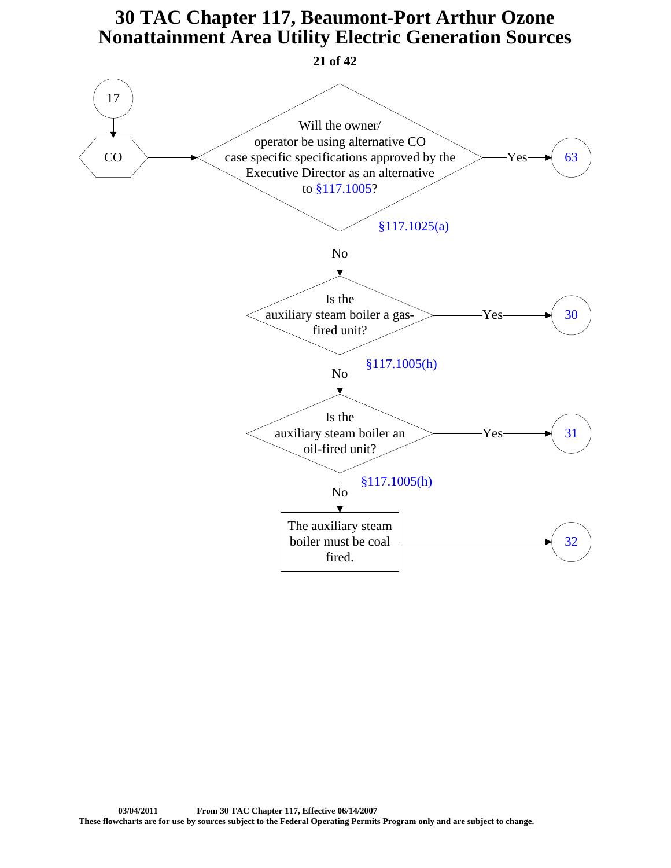<span id="page-20-0"></span>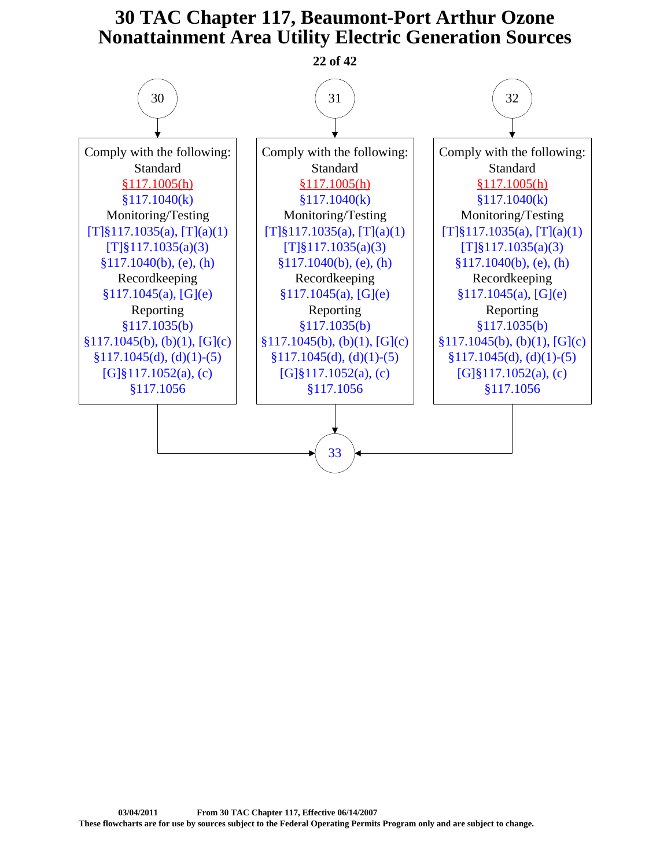<span id="page-21-0"></span>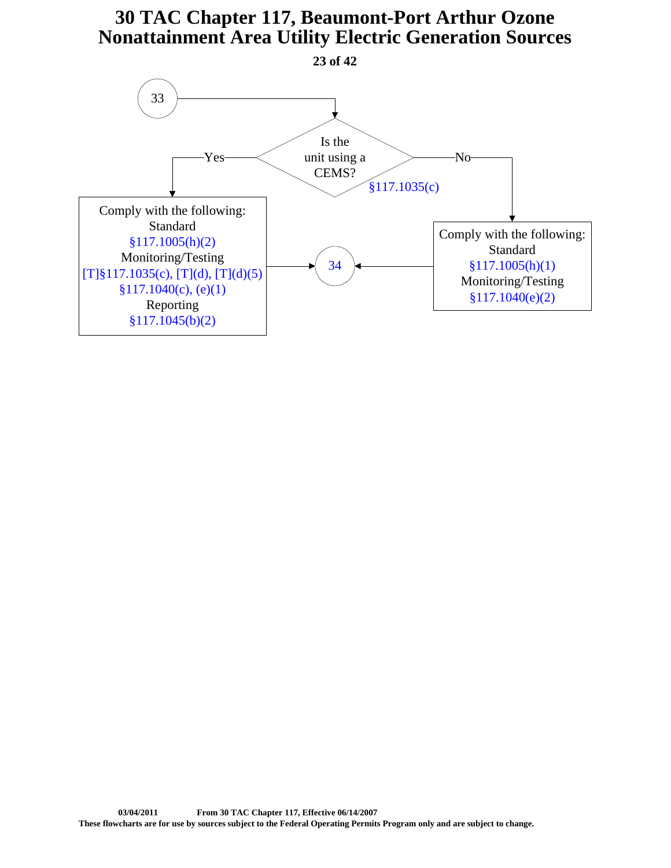<span id="page-22-0"></span>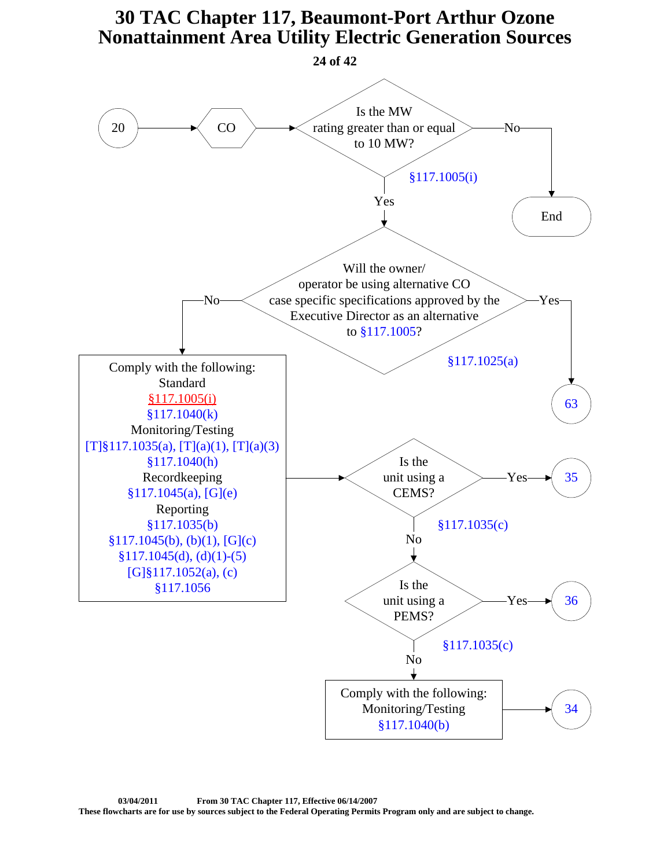<span id="page-23-0"></span>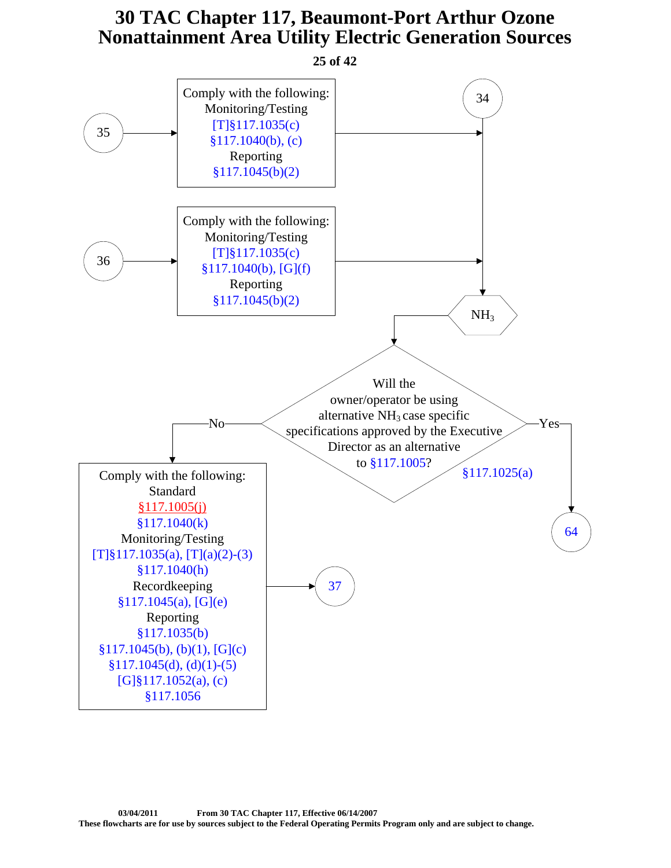<span id="page-24-0"></span>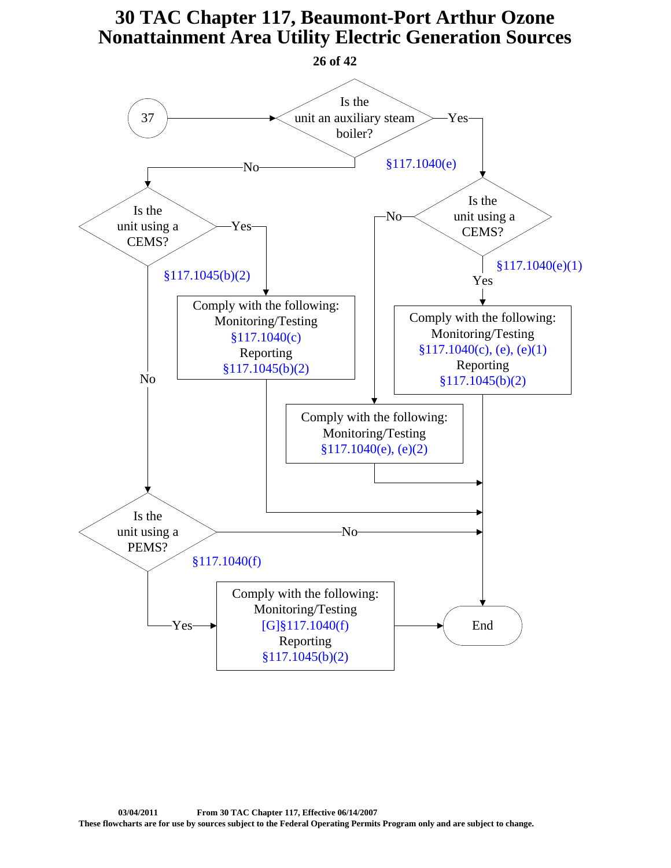<span id="page-25-0"></span>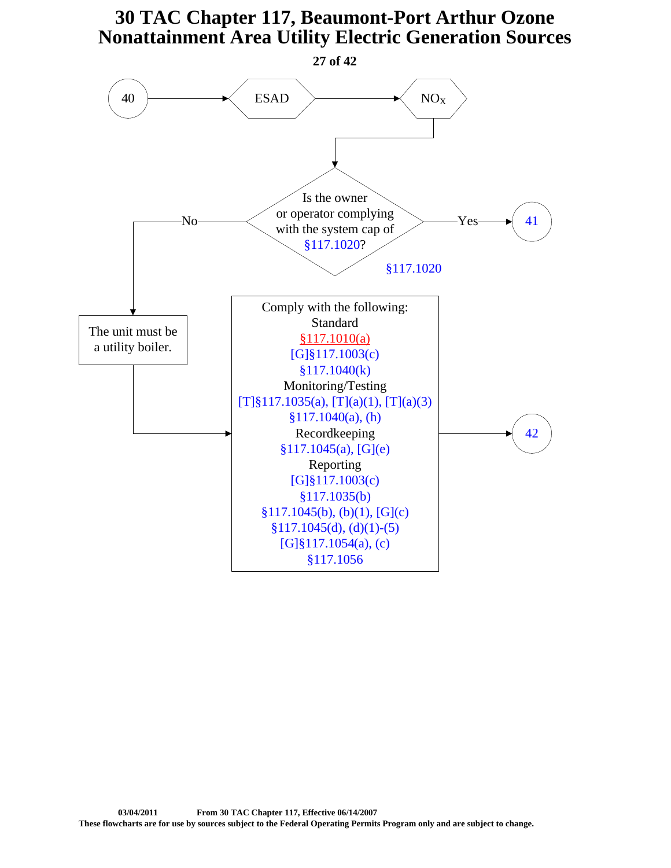<span id="page-26-0"></span>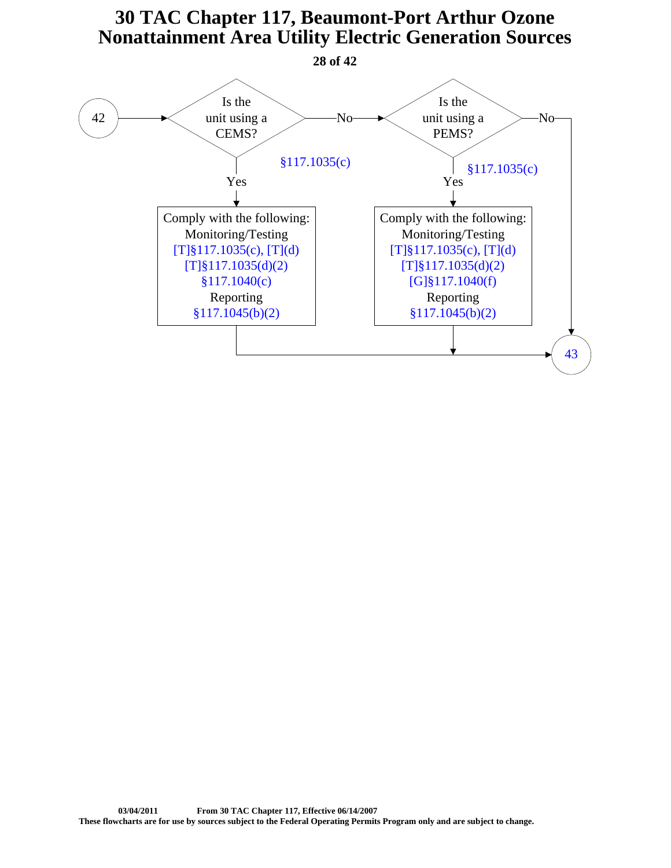<span id="page-27-0"></span>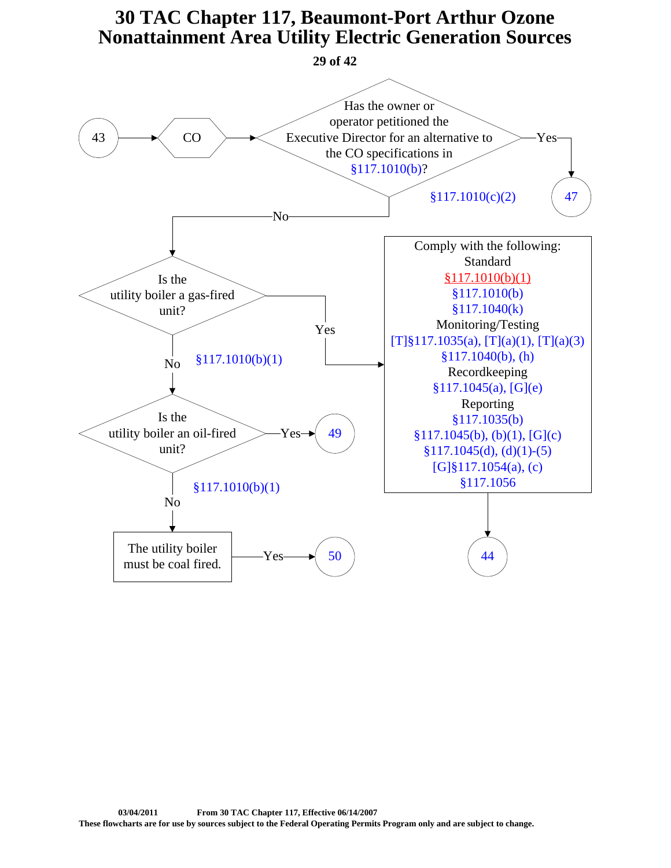<span id="page-28-0"></span>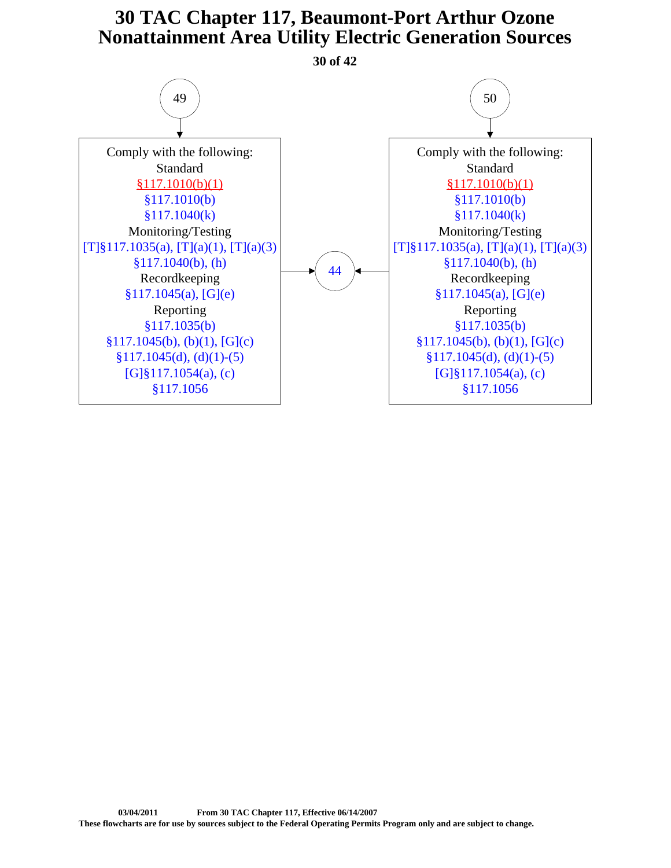<span id="page-29-0"></span>Comply with the following: Standard [§117.1010\(b\)\(1\)](https://www.tceq.texas.gov/downloads/permitting/air-rules/state/30-tac-117/re7c1-util.pdf#page=6) [§117.1010\(b\)](http://texreg.sos.state.tx.us/public/readtac$ext.TacPage?sl=R&app=9&p_dir=&p_rloc=&p_tloc=&p_ploc=&pg=1&p_tac=&ti=30&pt=1&ch=117&rl=1010) [§117.1040\(k\)](http://texreg.sos.state.tx.us/public/readtac$ext.TacPage?sl=R&app=9&p_dir=&p_rloc=&p_tloc=&p_ploc=&pg=1&p_tac=&ti=30&pt=1&ch=117&rl=1040) Monitoring/Testing [\[T\]§117.1035\(a\), \[T\]\(a\)\(1\), \[T\]\(a\)\(3\)](http://texreg.sos.state.tx.us/public/readtac$ext.TacPage?sl=R&app=9&p_dir=&p_rloc=&p_tloc=&p_ploc=&pg=1&p_tac=&ti=30&pt=1&ch=117&rl=1035) [§117.1040\(b\), \(h\)](http://texreg.sos.state.tx.us/public/readtac$ext.TacPage?sl=R&app=9&p_dir=&p_rloc=&p_tloc=&p_ploc=&pg=1&p_tac=&ti=30&pt=1&ch=117&rl=1040) Recordkeeping [§117.1045\(a\), \[G\]\(e\)](http://texreg.sos.state.tx.us/public/readtac$ext.TacPage?sl=R&app=9&p_dir=&p_rloc=&p_tloc=&p_ploc=&pg=1&p_tac=&ti=30&pt=1&ch=117&rl=1045) Reporting [§117.1035\(b\)](http://texreg.sos.state.tx.us/public/readtac$ext.TacPage?sl=R&app=9&p_dir=&p_rloc=&p_tloc=&p_ploc=&pg=1&p_tac=&ti=30&pt=1&ch=117&rl=1035)  $§117.1045(b), (b)(1), [G](c)$  $§117.1045(d), (d)(1)-(5)$ [\[G\]§117.1054\(a\), \(c\)](http://texreg.sos.state.tx.us/public/readtac$ext.TacPage?sl=R&app=9&p_dir=&p_rloc=&p_tloc=&p_ploc=&pg=1&p_tac=&ti=30&pt=1&ch=117&rl=1054) [§117.1056](http://texreg.sos.state.tx.us/public/readtac$ext.TacPage?sl=R&app=9&p_dir=&p_rloc=&p_tloc=&p_ploc=&pg=1&p_tac=&ti=30&pt=1&ch=117&rl=1056) Comply with the following: Standard [§117.1010\(b\)\(1\)](https://www.tceq.texas.gov/downloads/permitting/air-rules/state/30-tac-117/re7c1-util.pdf#page=6) [§117.1010\(b\)](http://texreg.sos.state.tx.us/public/readtac$ext.TacPage?sl=R&app=9&p_dir=&p_rloc=&p_tloc=&p_ploc=&pg=1&p_tac=&ti=30&pt=1&ch=117&rl=1010) [§117.1040\(k\)](http://texreg.sos.state.tx.us/public/readtac$ext.TacPage?sl=R&app=9&p_dir=&p_rloc=&p_tloc=&p_ploc=&pg=1&p_tac=&ti=30&pt=1&ch=117&rl=1040) Monitoring/Testing  $[T]\S117.1035(a), [T](a)(1), [T](a)(3)$ [§117.1040\(b\), \(h\)](http://texreg.sos.state.tx.us/public/readtac$ext.TacPage?sl=R&app=9&p_dir=&p_rloc=&p_tloc=&p_ploc=&pg=1&p_tac=&ti=30&pt=1&ch=117&rl=1040) Recordkeeping [§117.1045\(a\), \[G\]\(e\)](http://texreg.sos.state.tx.us/public/readtac$ext.TacPage?sl=R&app=9&p_dir=&p_rloc=&p_tloc=&p_ploc=&pg=1&p_tac=&ti=30&pt=1&ch=117&rl=1045) Reporting [§117.1035\(b\)](http://texreg.sos.state.tx.us/public/readtac$ext.TacPage?sl=R&app=9&p_dir=&p_rloc=&p_tloc=&p_ploc=&pg=1&p_tac=&ti=30&pt=1&ch=117&rl=1035)  $§117.1045(b), (b)(1), [G](c)$  $§117.1045(d), (d)(1)-(5)$ [\[G\]§117.1054\(a\), \(c\)](http://texreg.sos.state.tx.us/public/readtac$ext.TacPage?sl=R&app=9&p_dir=&p_rloc=&p_tloc=&p_ploc=&pg=1&p_tac=&ti=30&pt=1&ch=117&rl=1054) [§117.1056](http://texreg.sos.state.tx.us/public/readtac$ext.TacPage?sl=R&app=9&p_dir=&p_rloc=&p_tloc=&p_ploc=&pg=1&p_tac=&ti=30&pt=1&ch=117&rl=1056)  $49$   $(50$ [44](#page-30-0) **30 of 42**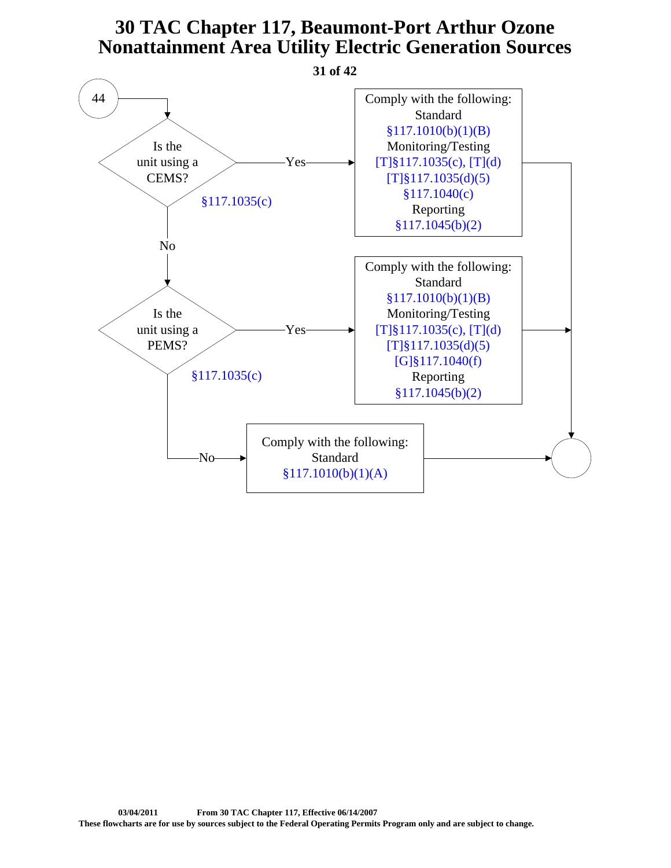<span id="page-30-0"></span>![](_page_30_Figure_1.jpeg)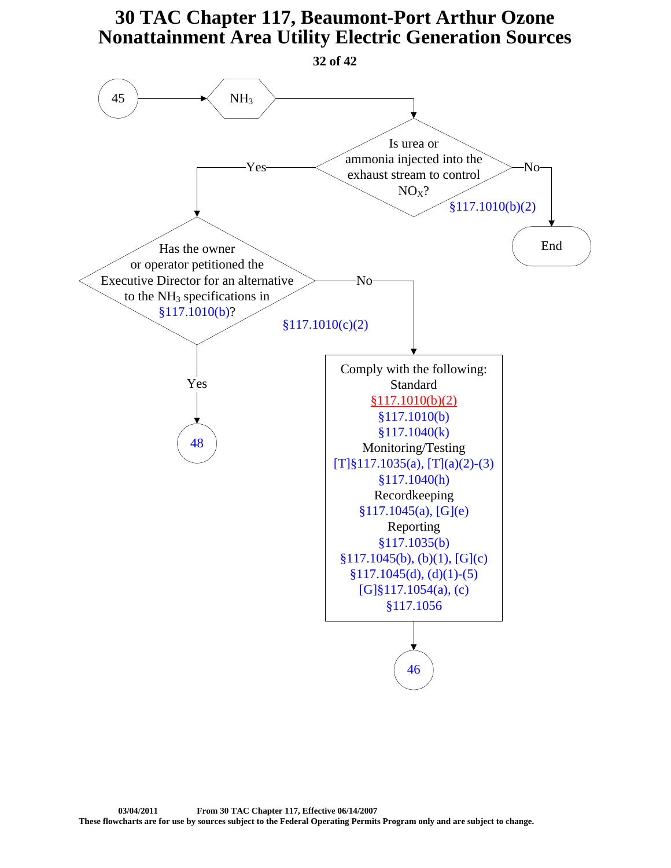<span id="page-31-0"></span>![](_page_31_Figure_1.jpeg)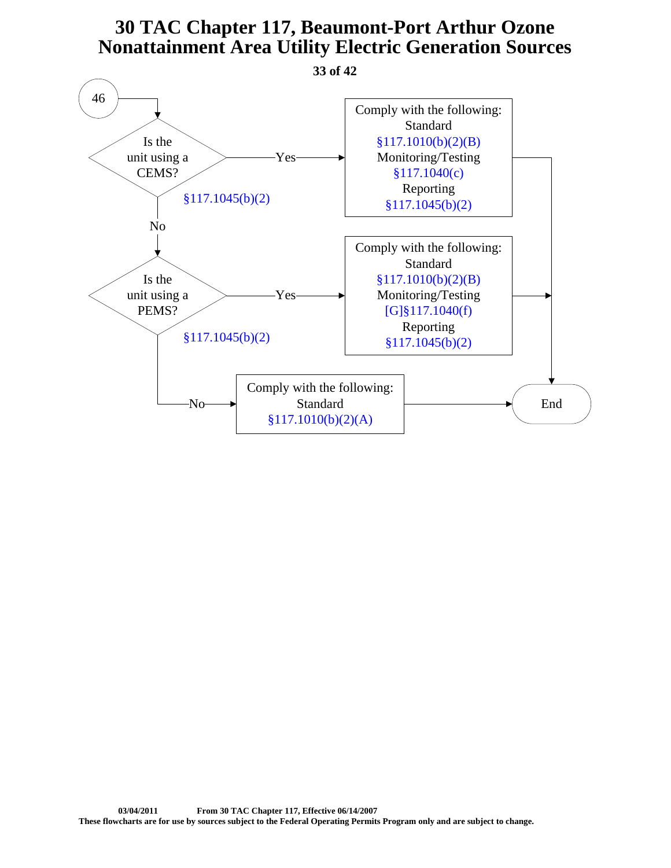**33 of 42**

<span id="page-32-0"></span>![](_page_32_Figure_2.jpeg)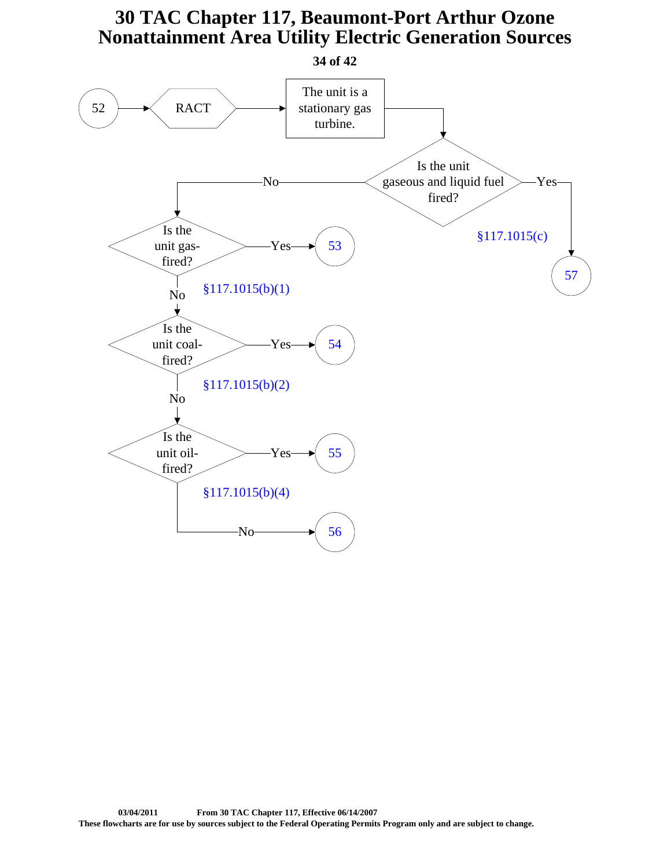<span id="page-33-0"></span>![](_page_33_Figure_1.jpeg)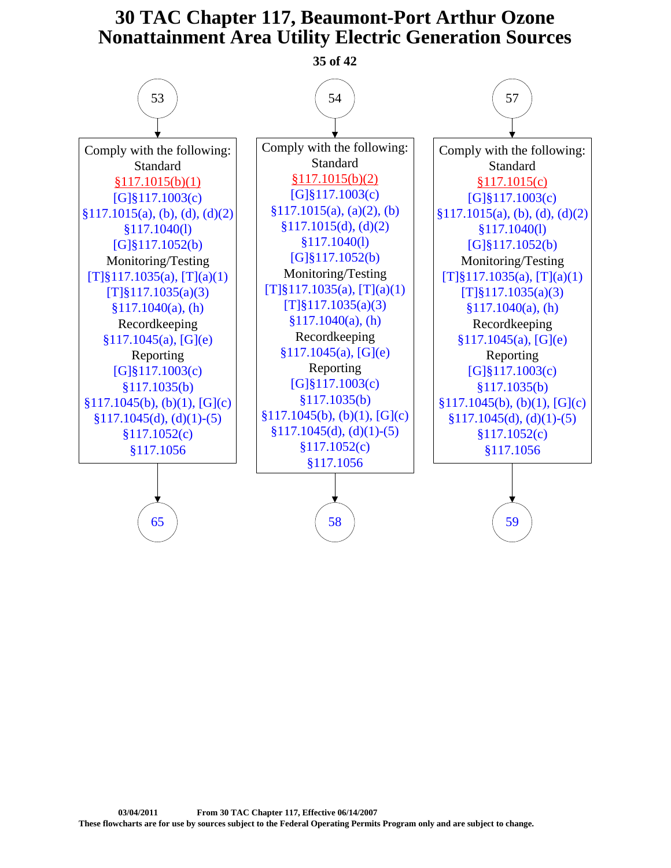<span id="page-34-0"></span>![](_page_34_Figure_1.jpeg)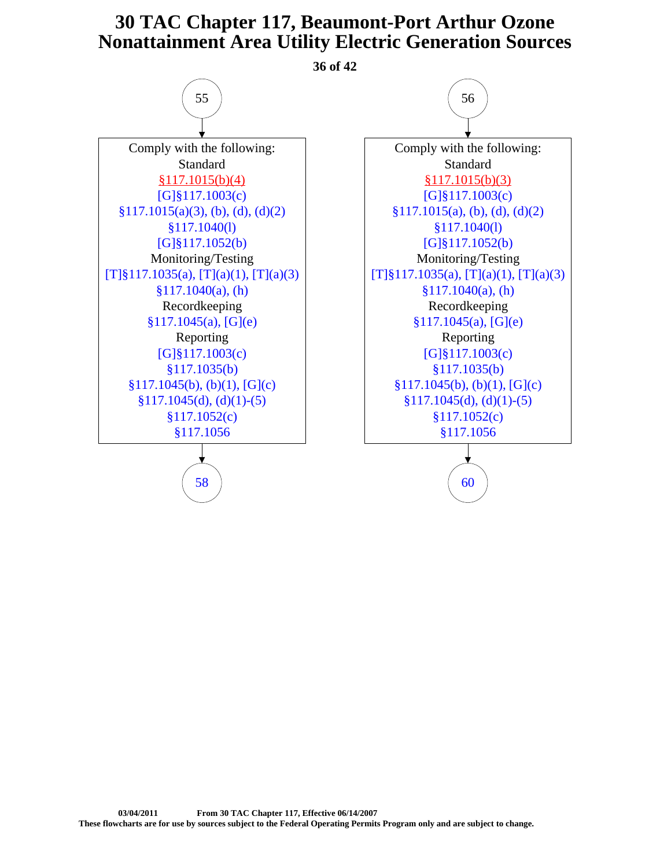**36 of 42**

<span id="page-35-0"></span>![](_page_35_Figure_2.jpeg)

![](_page_35_Figure_3.jpeg)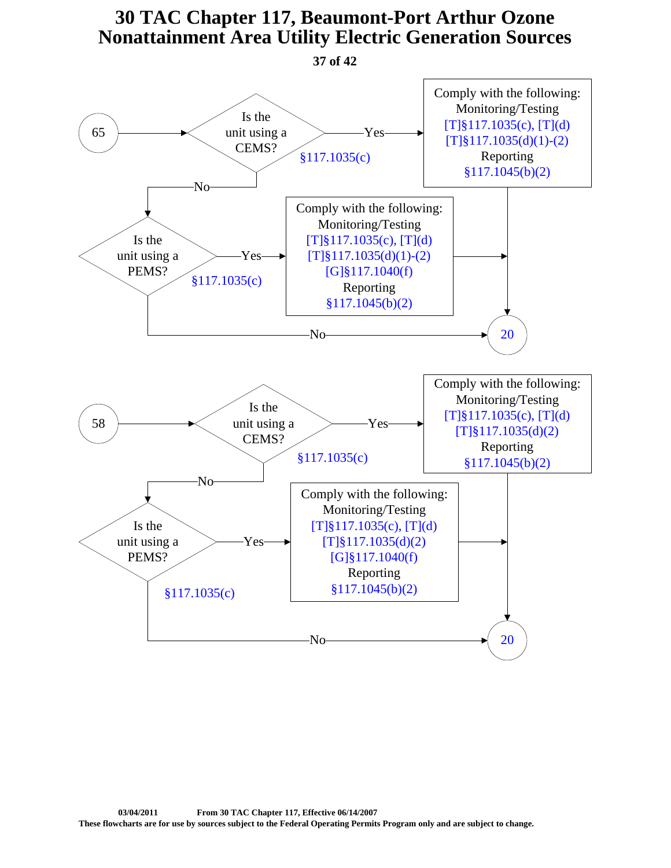**37 of 42**

<span id="page-36-0"></span>![](_page_36_Figure_2.jpeg)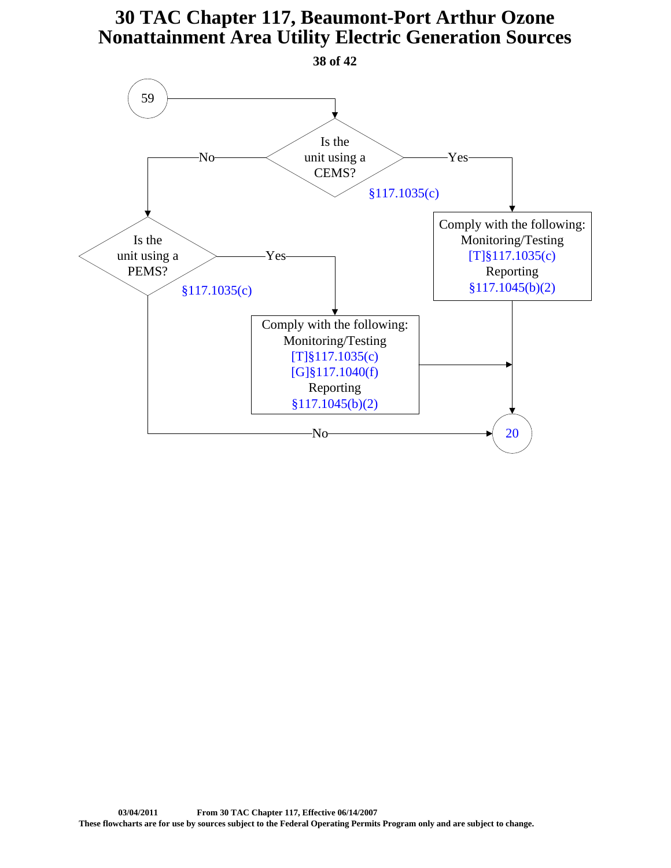<span id="page-37-0"></span>![](_page_37_Figure_1.jpeg)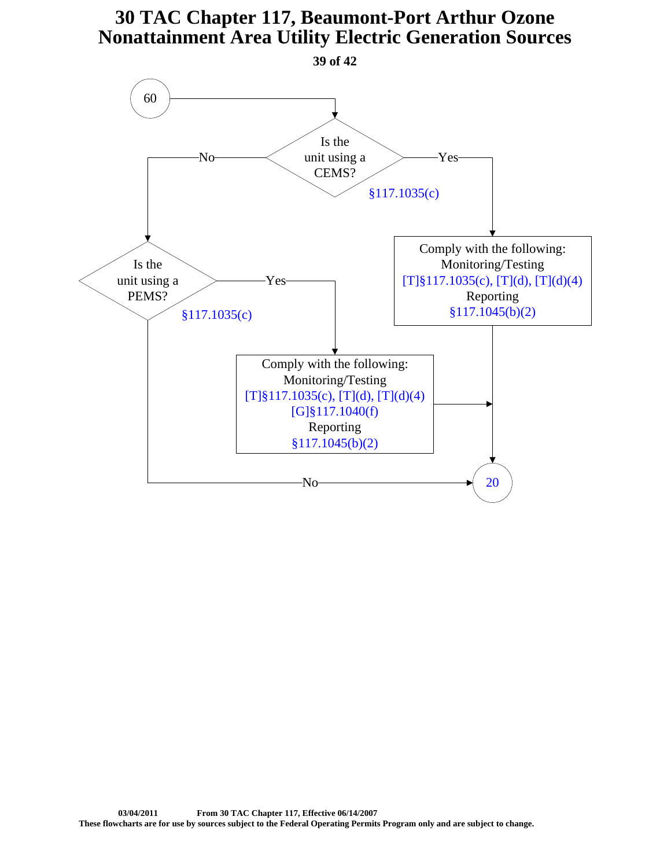<span id="page-38-0"></span>![](_page_38_Figure_1.jpeg)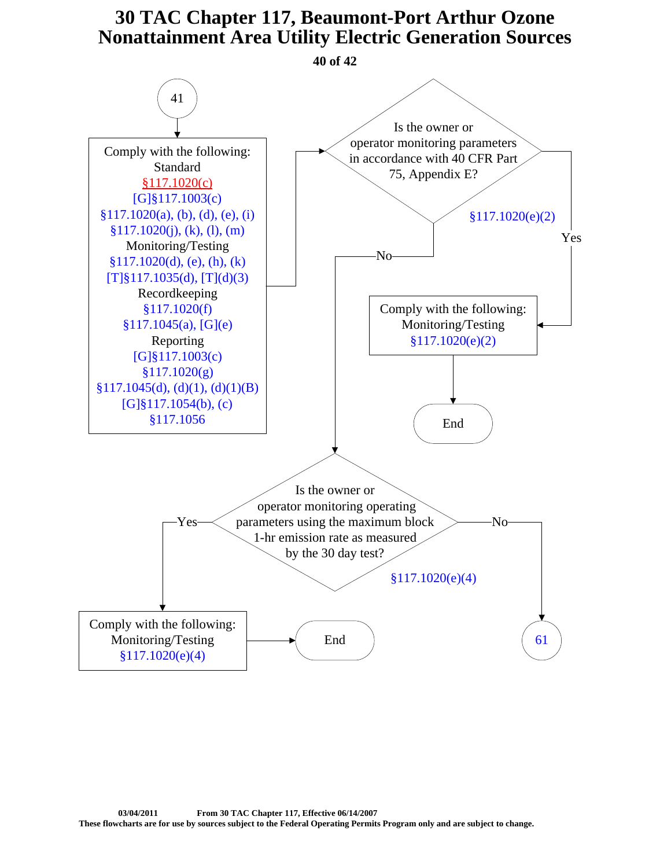<span id="page-39-0"></span>![](_page_39_Figure_1.jpeg)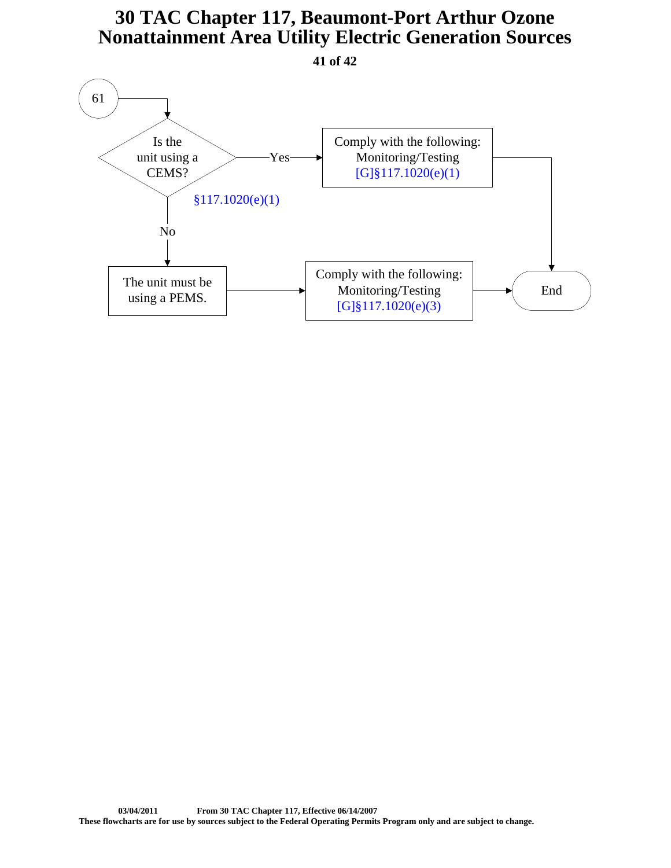**41 of 42**

<span id="page-40-0"></span>![](_page_40_Figure_2.jpeg)